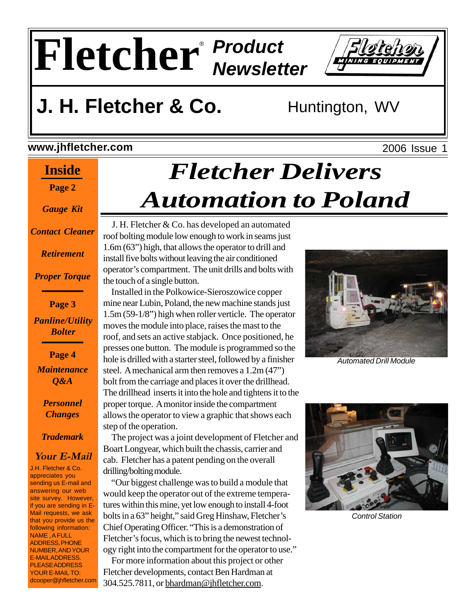## **Fletcher** *Product Newsletter* ®



## **J. H. Fletcher & Co.** Huntington, WV

### **www.jhfletcher.com**

### **Inside**

**Page 2**

*Gauge Kit*

*Contact Cleaner*

*Retirement*

*Proper Torque*

#### **Page 3**

*Panline/Utility Bolter*

**Page 4** *Maintenance Q&A*

> *Personnel Changes*

*Trademark*

**Your E-Mail**

J.H. Fletcher & Co. appreciates you sending us E-mail and answering our web site survey. However, if you are sending in E-Mail requests, we ask that you provide us the following information: NAME , A FULL ADDRESS, PHONE NUMBER, AND YOUR E-MAIL ADDRESS. PLEASE ADDRESS YOUR E-MAIL TO: dcooper@jhfletcher.com

# *Fletcher Delivers Automation to Poland*

 J. H. Fletcher & Co. has developed an automated roof bolting module low enough to work in seams just 1.6m (63") high, that allows the operator to drill and install five bolts without leaving the air conditioned operator's compartment. The unit drills and bolts with the touch of a single button.

 Installed in the Polkowice-Sieroszowice copper mine near Lubin, Poland, the new machine stands just 1.5m (59-1/8") high when roller verticle. The operator moves the module into place, raises the mast to the roof, and sets an active stabjack. Once positioned, he presses one button. The module is programmed so the hole is drilled with a starter steel, followed by a finisher steel. A mechanical arm then removes a 1.2m (47") bolt from the carriage and places it over the drillhead. The drillhead inserts it into the hole and tightens it to the proper torque. A monitor inside the compartment allows the operator to view a graphic that shows each step of the operation.

 The project was a joint development of Fletcher and Boart Longyear, which built the chassis, carrier and cab. Fletcher has a patent pending on the overall drilling/bolting module.

 "Our biggest challenge was to build a module that would keep the operator out of the extreme temperatures within this mine, yet low enough to install 4-foot bolts in a 63" height," said Greg Hinshaw, Fletcher's Chief Operating Officer. "This is a demonstration of Fletcher's focus, which is to bring the newest technology right into the compartment for the operator to use."

 For more information about this project or other Fletcher developments, contact Ben Hardman at 304.525.7811, or bhardman@jhfletcher.com.



*Automated Drill Module*



*Control Station*

2006 Issue 1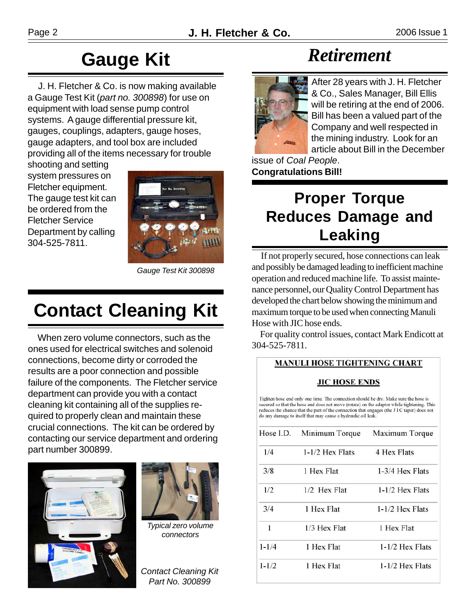## **Gauge Kit**

 J. H. Fletcher & Co. is now making available a Gauge Test Kit (*part no. 300898*) for use on equipment with load sense pump control systems. A gauge differential pressure kit, gauges, couplings, adapters, gauge hoses, gauge adapters, and tool box are included providing all of the items necessary for trouble

shooting and setting system pressures on Fletcher equipment. The gauge test kit can be ordered from the Fletcher Service Department by calling 304-525-7811.



*Gauge Test Kit 300898*

## **Contact Cleaning Kit**

 When zero volume connectors, such as the ones used for electrical switches and solenoid connections, become dirty or corroded the results are a poor connection and possible failure of the components. The Fletcher service department can provide you with a contact cleaning kit containing all of the supplies required to properly clean and maintain these crucial connections. The kit can be ordered by contacting our service department and ordering part number 300899.



*Typical zero volume connectors*

*Contact Cleaning Kit Part No. 300899*

### *Retirement*



After 28 years with J. H. Fletcher & Co., Sales Manager, Bill Ellis will be retiring at the end of 2006. Bill has been a valued part of the Company and well respected in the mining industry. Look for an article about Bill in the December

issue of *Coal People*. **Congratulations Bill!**

### **Proper Torque Reduces Damage and Leaking**

 If not properly secured, hose connections can leak and possibly be damaged leading to inefficient machine operation and reduced machine life. To assist maintenance personnel, our Quality Control Department has developed the chart below showing the minimum and maximum torque to be used when connecting Manuli Hose with JIC hose ends.

 For quality control issues, contact Mark Endicott at 304-525-7811.

#### **MANULI HOSE TIGHTENING CHART**

#### **JIC HOSE ENDS**

Tighten hose end only one time. The connection should be dry. Make sure the hose is secured so that the hose end does not move (rotate) on the adaptor while tightening. This reduces the chance that the part of the connection that engages (the JIC taper) does not do any damage to itself that may cause a hydraulic oil leak.

| Hose I.D. | Minimum Torque    | Maximum Torque    |
|-----------|-------------------|-------------------|
| 1/4       | $1-1/2$ Hex Flats | 4 Hex Flats       |
| 3/8       | 1 Hex Flat        | $1-3/4$ Hex Flats |
| 1/2       | $1/2$ Hex Flat    | $1-1/2$ Hex Flats |
| 3/4       | 1 Hex Flat        | $1-1/2$ Hex Flats |
| 1         | $1/3$ Hex Flat    | 1 Hex Flat        |
| $1 - 1/4$ | 1 Hex Flat        | $1-1/2$ Hex Flats |
| $1 - 1/2$ | 1 Hex Flat        | $1-1/2$ Hex Flats |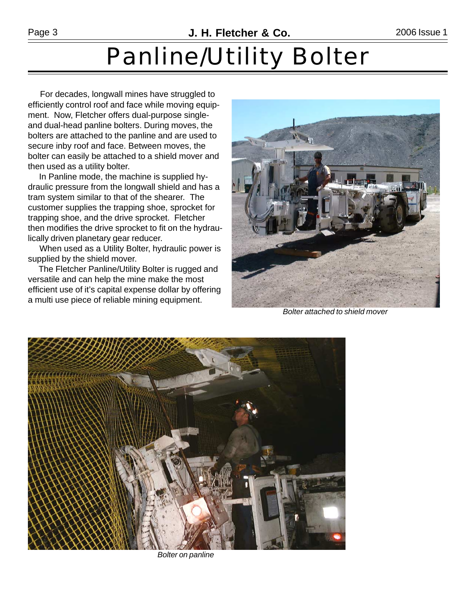# Panline/Utility Bolter

 For decades, longwall mines have struggled to efficiently control roof and face while moving equipment. Now, Fletcher offers dual-purpose singleand dual-head panline bolters. During moves, the bolters are attached to the panline and are used to secure inby roof and face. Between moves, the bolter can easily be attached to a shield mover and then used as a utility bolter.

 In Panline mode, the machine is supplied hydraulic pressure from the longwall shield and has a tram system similar to that of the shearer. The customer supplies the trapping shoe, sprocket for trapping shoe, and the drive sprocket. Fletcher then modifies the drive sprocket to fit on the hydraulically driven planetary gear reducer.

 When used as a Utility Bolter, hydraulic power is supplied by the shield mover.

 The Fletcher Panline/Utility Bolter is rugged and versatile and can help the mine make the most efficient use of it's capital expense dollar by offering a multi use piece of reliable mining equipment.



*Bolter attached to shield mover*



*Bolter on panline*